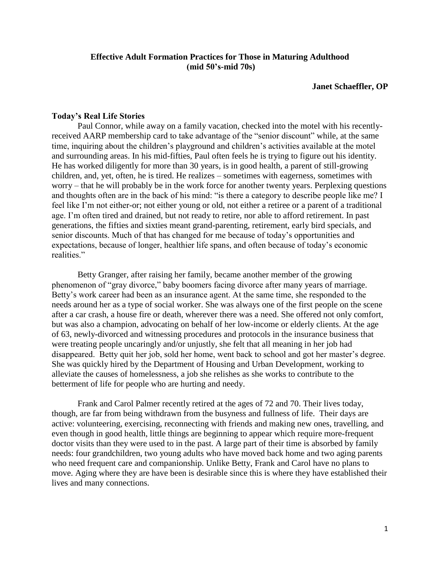# **Effective Adult Formation Practices for Those in Maturing Adulthood (mid 50's-mid 70s)**

#### **Janet Schaeffler, OP**

#### **Today's Real Life Stories**

Paul Connor, while away on a family vacation, checked into the motel with his recentlyreceived AARP membership card to take advantage of the "senior discount" while, at the same time, inquiring about the children's playground and children's activities available at the motel and surrounding areas. In his mid-fifties, Paul often feels he is trying to figure out his identity. He has worked diligently for more than 30 years, is in good health, a parent of still-growing children, and, yet, often, he is tired. He realizes – sometimes with eagerness, sometimes with worry – that he will probably be in the work force for another twenty years. Perplexing questions and thoughts often are in the back of his mind: "is there a category to describe people like me? I feel like I'm not either-or; not either young or old, not either a retiree or a parent of a traditional age. I'm often tired and drained, but not ready to retire, nor able to afford retirement. In past generations, the fifties and sixties meant grand-parenting, retirement, early bird specials, and senior discounts. Much of that has changed for me because of today's opportunities and expectations, because of longer, healthier life spans, and often because of today's economic realities."

Betty Granger, after raising her family, became another member of the growing phenomenon of "gray divorce," baby boomers facing divorce after many years of marriage. Betty's work career had been as an insurance agent. At the same time, she responded to the needs around her as a type of social worker. She was always one of the first people on the scene after a car crash, a house fire or death, wherever there was a need. She offered not only comfort, but was also a champion, advocating on behalf of her low-income or elderly clients. At the age of 63, newly-divorced and witnessing procedures and protocols in the insurance business that were treating people uncaringly and/or unjustly, she felt that all meaning in her job had disappeared. Betty quit her job, sold her home, went back to school and got her master's degree. She was quickly hired by the Department of Housing and Urban Development, working to alleviate the causes of homelessness, a job she relishes as she works to contribute to the betterment of life for people who are hurting and needy.

Frank and Carol Palmer recently retired at the ages of 72 and 70. Their lives today, though, are far from being withdrawn from the busyness and fullness of life. Their days are active: volunteering, exercising, reconnecting with friends and making new ones, travelling, and even though in good health, little things are beginning to appear which require more-frequent doctor visits than they were used to in the past. A large part of their time is absorbed by family needs: four grandchildren, two young adults who have moved back home and two aging parents who need frequent care and companionship. Unlike Betty, Frank and Carol have no plans to move. Aging where they are have been is desirable since this is where they have established their lives and many connections.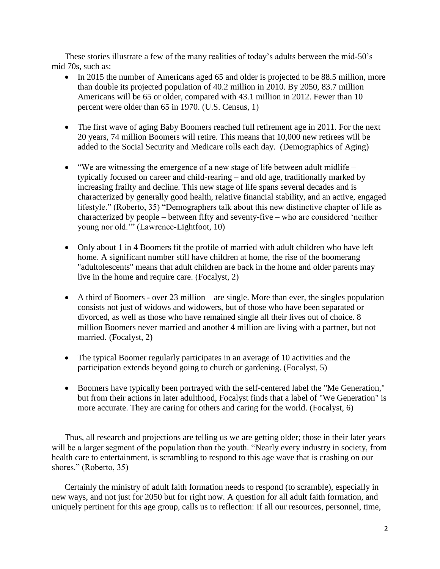These stories illustrate a few of the many realities of today's adults between the mid-50's  $$ mid 70s, such as:

- In 2015 the number of Americans aged 65 and older is projected to be 88.5 million, more than double its projected population of 40.2 million in 2010. By 2050, 83.7 million Americans will be 65 or older, compared with 43.1 million in 2012. Fewer than 10 percent were older than 65 in 1970. (U.S. Census, 1)
- The first wave of aging Baby Boomers reached full retirement age in 2011. For the next 20 years, 74 million Boomers will retire. This means that 10,000 new retirees will be added to the Social Security and Medicare rolls each day. (Demographics of Aging)
- $\bullet$  "We are witnessing the emergence of a new stage of life between adult midlife typically focused on career and child-rearing – and old age, traditionally marked by increasing frailty and decline. This new stage of life spans several decades and is characterized by generally good health, relative financial stability, and an active, engaged lifestyle." (Roberto, 35) "Demographers talk about this new distinctive chapter of life as characterized by people – between fifty and seventy-five – who are considered 'neither young nor old.'" (Lawrence-Lightfoot, 10)
- Only about 1 in 4 Boomers fit the profile of married with adult children who have left home. A significant number still have children at home, the rise of the boomerang "adultolescents" means that adult children are back in the home and older parents may live in the home and require care. (Focalyst, 2)
- $\bullet$  A third of Boomers over 23 million are single. More than ever, the singles population consists not just of widows and widowers, but of those who have been separated or divorced, as well as those who have remained single all their lives out of choice. 8 million Boomers never married and another 4 million are living with a partner, but not married. (Focalyst, 2)
- The typical Boomer regularly participates in an average of 10 activities and the participation extends beyond going to church or gardening. (Focalyst, 5)
- Boomers have typically been portrayed with the self-centered label the "Me Generation," but from their actions in later adulthood, Focalyst finds that a label of "We Generation" is more accurate. They are caring for others and caring for the world. (Focalyst, 6)

Thus, all research and projections are telling us we are getting older; those in their later years will be a larger segment of the population than the youth. "Nearly every industry in society, from health care to entertainment, is scrambling to respond to this age wave that is crashing on our shores." (Roberto, 35)

Certainly the ministry of adult faith formation needs to respond (to scramble), especially in new ways, and not just for 2050 but for right now. A question for all adult faith formation, and uniquely pertinent for this age group, calls us to reflection: If all our resources, personnel, time,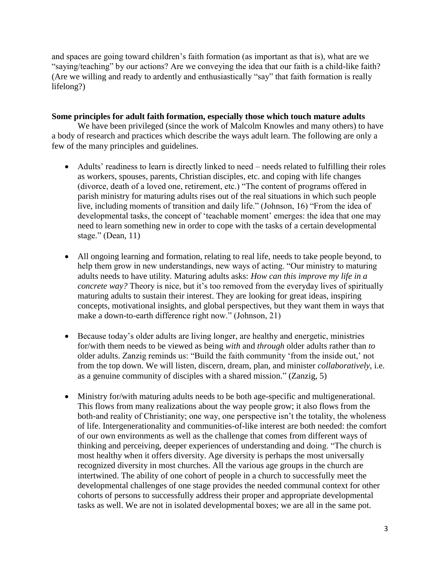and spaces are going toward children's faith formation (as important as that is), what are we "saying/teaching" by our actions? Are we conveying the idea that our faith is a child-like faith? (Are we willing and ready to ardently and enthusiastically "say" that faith formation is really lifelong?)

# **Some principles for adult faith formation, especially those which touch mature adults**

We have been privileged (since the work of Malcolm Knowles and many others) to have a body of research and practices which describe the ways adult learn. The following are only a few of the many principles and guidelines.

- Adults' readiness to learn is directly linked to need needs related to fulfilling their roles as workers, spouses, parents, Christian disciples, etc. and coping with life changes (divorce, death of a loved one, retirement, etc.) "The content of programs offered in parish ministry for maturing adults rises out of the real situations in which such people live, including moments of transition and daily life." (Johnson, 16) "From the idea of developmental tasks, the concept of 'teachable moment' emerges: the idea that one may need to learn something new in order to cope with the tasks of a certain developmental stage." (Dean, 11)
- All ongoing learning and formation, relating to real life, needs to take people beyond, to help them grow in new understandings, new ways of acting. "Our ministry to maturing adults needs to have utility. Maturing adults asks: *How can this improve my life in a concrete way?* Theory is nice, but it's too removed from the everyday lives of spiritually maturing adults to sustain their interest. They are looking for great ideas, inspiring concepts, motivational insights, and global perspectives, but they want them in ways that make a down-to-earth difference right now." (Johnson, 21)
- Because today's older adults are living longer, are healthy and energetic, ministries for/with them needs to be viewed as being *with* and *through* older adults rather than *to*  older adults. Zanzig reminds us: "Build the faith community 'from the inside out,' not from the top down. We will listen, discern, dream, plan, and minister *collaboratively,* i.e. as a genuine community of disciples with a shared mission." (Zanzig, 5)
- Ministry for/with maturing adults needs to be both age-specific and multigenerational. This flows from many realizations about the way people grow; it also flows from the both-and reality of Christianity; one way, one perspective isn't the totality, the wholeness of life. Intergenerationality and communities-of-like interest are both needed: the comfort of our own environments as well as the challenge that comes from different ways of thinking and perceiving, deeper experiences of understanding and doing. "The church is most healthy when it offers diversity. Age diversity is perhaps the most universally recognized diversity in most churches. All the various age groups in the church are intertwined. The ability of one cohort of people in a church to successfully meet the developmental challenges of one stage provides the needed communal context for other cohorts of persons to successfully address their proper and appropriate developmental tasks as well. We are not in isolated developmental boxes; we are all in the same pot.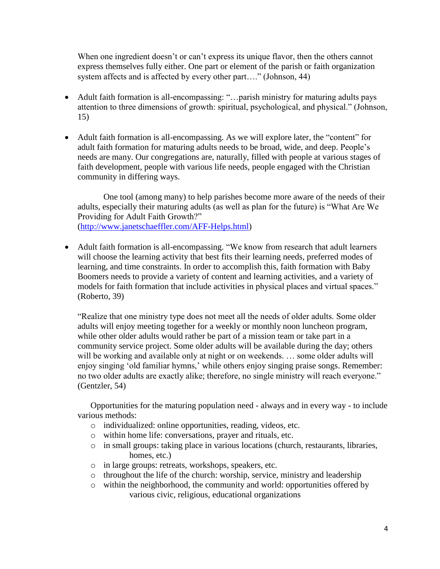When one ingredient doesn't or can't express its unique flavor, then the others cannot express themselves fully either. One part or element of the parish or faith organization system affects and is affected by every other part...." (Johnson, 44)

- Adult faith formation is all-encompassing: "...parish ministry for maturing adults pays attention to three dimensions of growth: spiritual, psychological, and physical." (Johnson, 15)
- Adult faith formation is all-encompassing. As we will explore later, the "content" for adult faith formation for maturing adults needs to be broad, wide, and deep. People's needs are many. Our congregations are, naturally, filled with people at various stages of faith development, people with various life needs, people engaged with the Christian community in differing ways.

One tool (among many) to help parishes become more aware of the needs of their adults, especially their maturing adults (as well as plan for the future) is "What Are We Providing for Adult Faith Growth?" [\(http://www.janetschaeffler.com/AFF-Helps.html\)](http://www.janetschaeffler.com/AFF-Helps.html)

• Adult faith formation is all-encompassing. "We know from research that adult learners will choose the learning activity that best fits their learning needs, preferred modes of learning, and time constraints. In order to accomplish this, faith formation with Baby Boomers needs to provide a variety of content and learning activities, and a variety of models for faith formation that include activities in physical places and virtual spaces." (Roberto, 39)

"Realize that one ministry type does not meet all the needs of older adults. Some older adults will enjoy meeting together for a weekly or monthly noon luncheon program, while other older adults would rather be part of a mission team or take part in a community service project. Some older adults will be available during the day; others will be working and available only at night or on weekends. ... some older adults will enjoy singing 'old familiar hymns,' while others enjoy singing praise songs. Remember: no two older adults are exactly alike; therefore, no single ministry will reach everyone." (Gentzler, 54)

Opportunities for the maturing population need - always and in every way - to include various methods:

- o individualized: online opportunities, reading, videos, etc.
- o within home life: conversations, prayer and rituals, etc.
- o in small groups: taking place in various locations (church, restaurants, libraries, homes, etc.)
- o in large groups: retreats, workshops, speakers, etc.
- o throughout the life of the church: worship, service, ministry and leadership
- o within the neighborhood, the community and world: opportunities offered by various civic, religious, educational organizations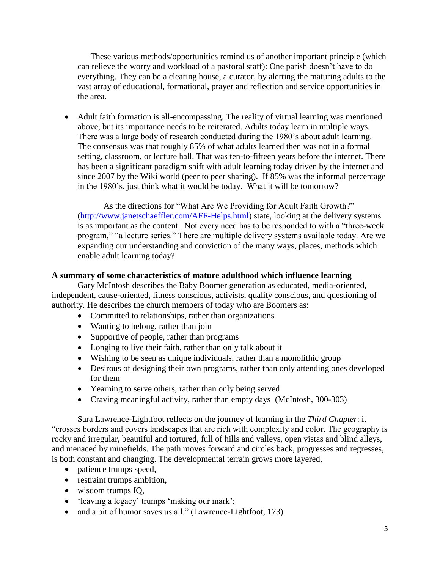These various methods/opportunities remind us of another important principle (which can relieve the worry and workload of a pastoral staff): One parish doesn't have to do everything. They can be a clearing house, a curator, by alerting the maturing adults to the vast array of educational, formational, prayer and reflection and service opportunities in the area.

 Adult faith formation is all-encompassing. The reality of virtual learning was mentioned above, but its importance needs to be reiterated. Adults today learn in multiple ways. There was a large body of research conducted during the 1980's about adult learning. The consensus was that roughly 85% of what adults learned then was not in a formal setting, classroom, or lecture hall. That was ten-to-fifteen years before the internet. There has been a significant paradigm shift with adult learning today driven by the internet and since 2007 by the Wiki world (peer to peer sharing). If 85% was the informal percentage in the 1980's, just think what it would be today. What it will be tomorrow?

As the directions for "What Are We Providing for Adult Faith Growth?" [\(http://www.janetschaeffler.com/AFF-Helps.html\)](http://www.janetschaeffler.com/AFF-Helps.html) state, looking at the delivery systems is as important as the content. Not every need has to be responded to with a "three-week program," "a lecture series." There are multiple delivery systems available today. Are we expanding our understanding and conviction of the many ways, places, methods which enable adult learning today?

### **A summary of some characteristics of mature adulthood which influence learning**

Gary McIntosh describes the Baby Boomer generation as educated, media-oriented, independent, cause-oriented, fitness conscious, activists, quality conscious, and questioning of authority. He describes the church members of today who are Boomers as:

- Committed to relationships, rather than organizations
- Wanting to belong, rather than join
- Supportive of people, rather than programs
- Longing to live their faith, rather than only talk about it
- Wishing to be seen as unique individuals, rather than a monolithic group
- Desirous of designing their own programs, rather than only attending ones developed for them
- Yearning to serve others, rather than only being served
- Craving meaningful activity, rather than empty days (McIntosh, 300-303)

Sara Lawrence-Lightfoot reflects on the journey of learning in the *Third Chapter*: it "crosses borders and covers landscapes that are rich with complexity and color. The geography is rocky and irregular, beautiful and tortured, full of hills and valleys, open vistas and blind alleys, and menaced by minefields. The path moves forward and circles back, progresses and regresses, is both constant and changing. The developmental terrain grows more layered,

- patience trumps speed,
- restraint trumps ambition,
- wisdom trumps IQ,
- 'leaving a legacy' trumps 'making our mark';
- and a bit of humor saves us all." (Lawrence-Lightfoot, 173)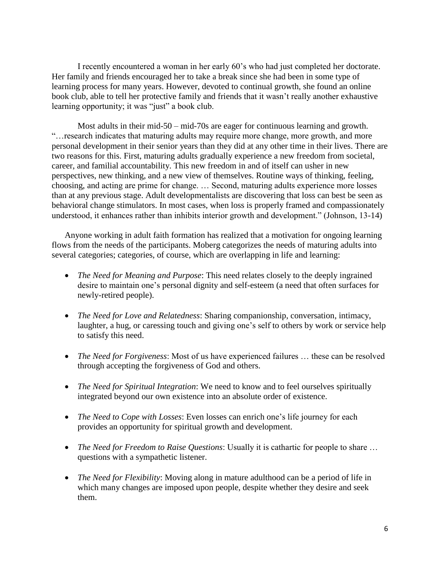I recently encountered a woman in her early 60's who had just completed her doctorate. Her family and friends encouraged her to take a break since she had been in some type of learning process for many years. However, devoted to continual growth, she found an online book club, able to tell her protective family and friends that it wasn't really another exhaustive learning opportunity; it was "just" a book club.

Most adults in their mid-50 – mid-70s are eager for continuous learning and growth. "…research indicates that maturing adults may require more change, more growth, and more personal development in their senior years than they did at any other time in their lives. There are two reasons for this. First, maturing adults gradually experience a new freedom from societal, career, and familial accountability. This new freedom in and of itself can usher in new perspectives, new thinking, and a new view of themselves. Routine ways of thinking, feeling, choosing, and acting are prime for change. … Second, maturing adults experience more losses than at any previous stage. Adult developmentalists are discovering that loss can best be seen as behavioral change stimulators. In most cases, when loss is properly framed and compassionately understood, it enhances rather than inhibits interior growth and development." (Johnson, 13-14)

Anyone working in adult faith formation has realized that a motivation for ongoing learning flows from the needs of the participants. Moberg categorizes the needs of maturing adults into several categories; categories, of course, which are overlapping in life and learning:

- *The Need for Meaning and Purpose*: This need relates closely to the deeply ingrained desire to maintain one's personal dignity and self-esteem (a need that often surfaces for newly-retired people).
- *The Need for Love and Relatedness*: Sharing companionship, conversation, intimacy, laughter, a hug, or caressing touch and giving one's self to others by work or service help to satisfy this need.
- *The Need for Forgiveness*: Most of us have experienced failures … these can be resolved through accepting the forgiveness of God and others.
- *The Need for Spiritual Integration*: We need to know and to feel ourselves spiritually integrated beyond our own existence into an absolute order of existence.
- *The Need to Cope with Losses*: Even losses can enrich one's life journey for each provides an opportunity for spiritual growth and development.
- *The Need for Freedom to Raise Questions*: Usually it is cathartic for people to share ... questions with a sympathetic listener.
- *The Need for Flexibility*: Moving along in mature adulthood can be a period of life in which many changes are imposed upon people, despite whether they desire and seek them.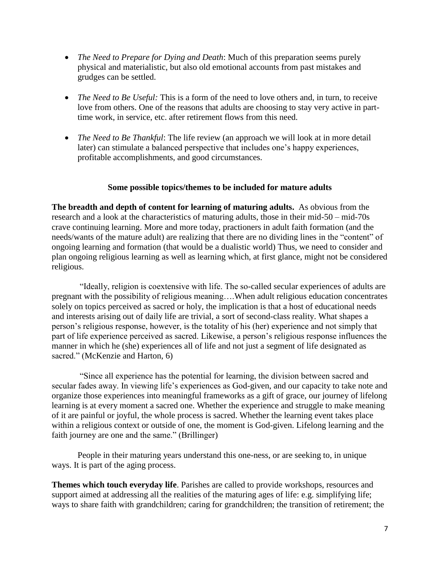- *The Need to Prepare for Dying and Death*: Much of this preparation seems purely physical and materialistic, but also old emotional accounts from past mistakes and grudges can be settled.
- *The Need to Be Useful:* This is a form of the need to love others and, in turn, to receive love from others. One of the reasons that adults are choosing to stay very active in parttime work, in service, etc. after retirement flows from this need.
- *The Need to Be Thankful*: The life review (an approach we will look at in more detail later) can stimulate a balanced perspective that includes one's happy experiences, profitable accomplishments, and good circumstances.

# **Some possible topics/themes to be included for mature adults**

**The breadth and depth of content for learning of maturing adults.** As obvious from the research and a look at the characteristics of maturing adults, those in their mid-50 – mid-70s crave continuing learning. More and more today, practioners in adult faith formation (and the needs/wants of the mature adult) are realizing that there are no dividing lines in the "content" of ongoing learning and formation (that would be a dualistic world) Thus, we need to consider and plan ongoing religious learning as well as learning which, at first glance, might not be considered religious.

"Ideally, religion is coextensive with life. The so-called secular experiences of adults are pregnant with the possibility of religious meaning….When adult religious education concentrates solely on topics perceived as sacred or holy, the implication is that a host of educational needs and interests arising out of daily life are trivial, a sort of second-class reality. What shapes a person's religious response, however, is the totality of his (her) experience and not simply that part of life experience perceived as sacred. Likewise, a person's religious response influences the manner in which he (she) experiences all of life and not just a segment of life designated as sacred." (McKenzie and Harton, 6)

"Since all experience has the potential for learning, the division between sacred and secular fades away. In viewing life's experiences as God-given, and our capacity to take note and organize those experiences into meaningful frameworks as a gift of grace, our journey of lifelong learning is at every moment a sacred one. Whether the experience and struggle to make meaning of it are painful or joyful, the whole process is sacred. Whether the learning event takes place within a religious context or outside of one, the moment is God-given. Lifelong learning and the faith journey are one and the same." (Brillinger)

People in their maturing years understand this one-ness, or are seeking to, in unique ways. It is part of the aging process.

**Themes which touch everyday life**. Parishes are called to provide workshops, resources and support aimed at addressing all the realities of the maturing ages of life: e.g. simplifying life; ways to share faith with grandchildren; caring for grandchildren; the transition of retirement; the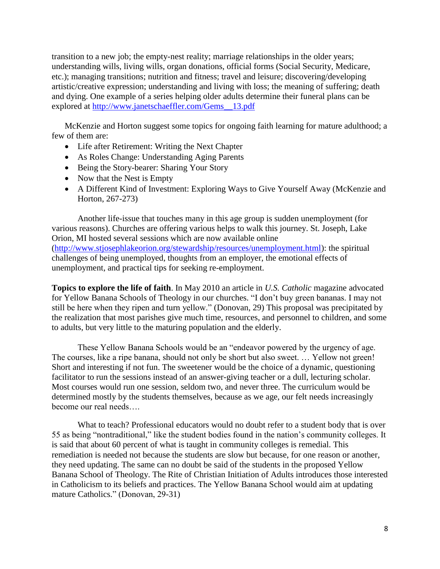transition to a new job; the empty-nest reality; marriage relationships in the older years; understanding wills, living wills, organ donations, official forms (Social Security, Medicare, etc.); managing transitions; nutrition and fitness; travel and leisure; discovering/developing artistic/creative expression; understanding and living with loss; the meaning of suffering; death and dying. One example of a series helping older adults determine their funeral plans can be explored at [http://www.janetschaeffler.com/Gems\\_\\_13.pdf](http://www.janetschaeffler.com/Gems__13.pdf)

McKenzie and Horton suggest some topics for ongoing faith learning for mature adulthood; a few of them are:

- Life after Retirement: Writing the Next Chapter
- As Roles Change: Understanding Aging Parents
- Being the Story-bearer: Sharing Your Story
- Now that the Nest is Empty
- A Different Kind of Investment: Exploring Ways to Give Yourself Away (McKenzie and Horton, 267-273)

Another life-issue that touches many in this age group is sudden unemployment (for various reasons). Churches are offering various helps to walk this journey. St. Joseph, Lake Orion, MI hosted several sessions which are now available online [\(http://www.stjosephlakeorion.org/stewardship/resources/unemployment.html\)](http://www.stjosephlakeorion.org/stewardship/resources/unemployment.html): the spiritual challenges of being unemployed, thoughts from an employer, the emotional effects of unemployment, and practical tips for seeking re-employment.

**Topics to explore the life of faith**. In May 2010 an article in *U.S. Catholic* magazine advocated for Yellow Banana Schools of Theology in our churches. "I don't buy green bananas. I may not still be here when they ripen and turn yellow." (Donovan, 29) This proposal was precipitated by the realization that most parishes give much time, resources, and personnel to children, and some to adults, but very little to the maturing population and the elderly.

These Yellow Banana Schools would be an "endeavor powered by the urgency of age. The courses, like a ripe banana, should not only be short but also sweet. … Yellow not green! Short and interesting if not fun. The sweetener would be the choice of a dynamic, questioning facilitator to run the sessions instead of an answer-giving teacher or a dull, lecturing scholar. Most courses would run one session, seldom two, and never three. The curriculum would be determined mostly by the students themselves, because as we age, our felt needs increasingly become our real needs….

What to teach? Professional educators would no doubt refer to a student body that is over 55 as being "nontraditional," like the student bodies found in the nation's community colleges. It is said that about 60 percent of what is taught in community colleges is remedial. This remediation is needed not because the students are slow but because, for one reason or another, they need updating. The same can no doubt be said of the students in the proposed Yellow Banana School of Theology. The Rite of Christian Initiation of Adults introduces those interested in Catholicism to its beliefs and practices. The Yellow Banana School would aim at updating mature Catholics." (Donovan, 29-31)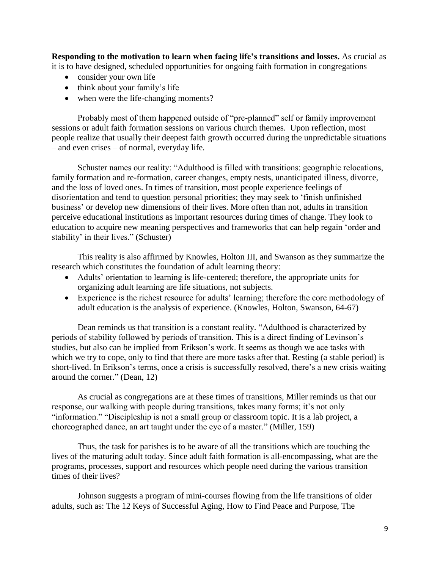**Responding to the motivation to learn when facing life's transitions and losses.** As crucial as it is to have designed, scheduled opportunities for ongoing faith formation in congregations

- consider your own life
- think about your family's life
- when were the life-changing moments?

 Probably most of them happened outside of "pre-planned" self or family improvement sessions or adult faith formation sessions on various church themes. Upon reflection, most people realize that usually their deepest faith growth occurred during the unpredictable situations – and even crises – of normal, everyday life.

Schuster names our reality: "Adulthood is filled with transitions: geographic relocations, family formation and re-formation, career changes, empty nests, unanticipated illness, divorce, and the loss of loved ones. In times of transition, most people experience feelings of disorientation and tend to question personal priorities; they may seek to 'finish unfinished business' or develop new dimensions of their lives. More often than not, adults in transition perceive educational institutions as important resources during times of change. They look to education to acquire new meaning perspectives and frameworks that can help regain 'order and stability' in their lives." (Schuster)

This reality is also affirmed by Knowles, Holton III, and Swanson as they summarize the research which constitutes the foundation of adult learning theory:

- Adults' orientation to learning is life-centered; therefore, the appropriate units for organizing adult learning are life situations, not subjects.
- Experience is the richest resource for adults' learning; therefore the core methodology of adult education is the analysis of experience. (Knowles, Holton, Swanson, 64-67)

Dean reminds us that transition is a constant reality. "Adulthood is characterized by periods of stability followed by periods of transition. This is a direct finding of Levinson's studies, but also can be implied from Erikson's work. It seems as though we ace tasks with which we try to cope, only to find that there are more tasks after that. Resting (a stable period) is short-lived. In Erikson's terms, once a crisis is successfully resolved, there's a new crisis waiting around the corner." (Dean, 12)

As crucial as congregations are at these times of transitions, Miller reminds us that our response, our walking with people during transitions, takes many forms; it's not only "information." "Discipleship is not a small group or classroom topic. It is a lab project, a choreographed dance, an art taught under the eye of a master." (Miller, 159)

Thus, the task for parishes is to be aware of all the transitions which are touching the lives of the maturing adult today. Since adult faith formation is all-encompassing, what are the programs, processes, support and resources which people need during the various transition times of their lives?

Johnson suggests a program of mini-courses flowing from the life transitions of older adults, such as: The 12 Keys of Successful Aging, How to Find Peace and Purpose, The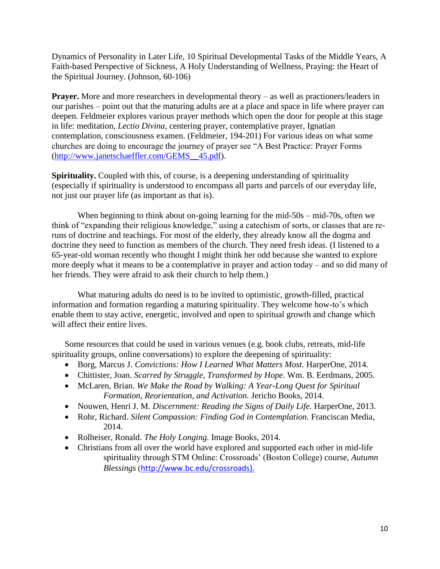Dynamics of Personality in Later Life, 10 Spiritual Developmental Tasks of the Middle Years, A Faith-based Perspective of Sickness, A Holy Understanding of Wellness, Praying: the Heart of the Spiritual Journey. (Johnson, 60-106)

**Prayer.** More and more researchers in developmental theory – as well as practioners/leaders in our parishes – point out that the maturing adults are at a place and space in life where prayer can deepen. Feldmeier explores various prayer methods which open the door for people at this stage in life: meditation, *Lectio Divina*, centering prayer, contemplative prayer, Ignatian contemplation, consciousness examen. (Feldmeier, 194-201) For various ideas on what some churches are doing to encourage the journey of prayer see "A Best Practice: Prayer Forms [\(http://www.janetschaeffler.com/GEMS\\_\\_45.pdf\)](http://www.janetschaeffler.com/GEMS__45.pdf).

**Spirituality.** Coupled with this, of course, is a deepening understanding of spirituality (especially if spirituality is understood to encompass all parts and parcels of our everyday life, not just our prayer life (as important as that is).

When beginning to think about on-going learning for the mid-50s – mid-70s, often we think of "expanding their religious knowledge," using a catechism of sorts, or classes that are reruns of doctrine and teachings. For most of the elderly, they already know all the dogma and doctrine they need to function as members of the church. They need fresh ideas. (I listened to a 65-year-old woman recently who thought I might think her odd because she wanted to explore more deeply what it means to be a contemplative in prayer and action today – and so did many of her friends. They were afraid to ask their church to help them.)

What maturing adults do need is to be invited to optimistic, growth-filled, practical information and formation regarding a maturing spirituality. They welcome how-to's which enable them to stay active, energetic, involved and open to spiritual growth and change which will affect their entire lives.

Some resources that could be used in various venues (e.g. book clubs, retreats, mid-life spirituality groups, online conversations) to explore the deepening of spirituality:

- Borg, Marcus J. *Convictions: How I Learned What Matters Most.* HarperOne, 2014.
- Chittister, Joan. *Scarred by Struggle, Transformed by Hope.* Wm. B. Eerdmans, 2005.
- McLaren, Brian. *We Make the Road by Walking: A Year-Long Quest for Spiritual Formation, Reorientation, and Activation.* Jericho Books, 2014.
- Nouwen, Henri J. M. *Discernment: Reading the Signs of Daily Life*. HarperOne, 2013.
- Rohr, Richard. *Silent Compassion: Finding God in Contemplation.* Franciscan Media, 2014.
- Rolheiser, Ronald. *The Holy Longing.* Image Books, 2014.
- Christians from all over the world have explored and supported each other in mid-life spirituality through STM Online: Crossroads' (Boston College) course, *Autumn Blessings* ([http://www.bc.edu/crossroads\)](http://www.bc.edu/crossroads).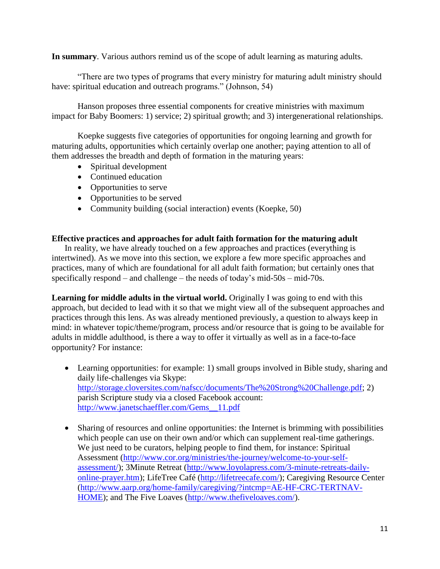**In summary**. Various authors remind us of the scope of adult learning as maturing adults.

"There are two types of programs that every ministry for maturing adult ministry should have: spiritual education and outreach programs." (Johnson, 54)

Hanson proposes three essential components for creative ministries with maximum impact for Baby Boomers: 1) service; 2) spiritual growth; and 3) intergenerational relationships.

Koepke suggests five categories of opportunities for ongoing learning and growth for maturing adults, opportunities which certainly overlap one another; paying attention to all of them addresses the breadth and depth of formation in the maturing years:

- Spiritual development
- Continued education
- Opportunities to serve
- Opportunities to be served
- Community building (social interaction) events (Koepke, 50)

# **Effective practices and approaches for adult faith formation for the maturing adult**

In reality, we have already touched on a few approaches and practices (everything is intertwined). As we move into this section, we explore a few more specific approaches and practices, many of which are foundational for all adult faith formation; but certainly ones that specifically respond – and challenge – the needs of today's mid-50s – mid-70s.

**Learning for middle adults in the virtual world.** Originally I was going to end with this approach, but decided to lead with it so that we might view all of the subsequent approaches and practices through this lens. As was already mentioned previously, a question to always keep in mind: in whatever topic/theme/program, process and/or resource that is going to be available for adults in middle adulthood, is there a way to offer it virtually as well as in a face-to-face opportunity? For instance:

- Learning opportunities: for example: 1) small groups involved in Bible study, sharing and daily life-challenges via Skype: [http://storage.cloversites.com/nafscc/documents/The%20Strong%20Challenge.pdf;](http://storage.cloversites.com/nafscc/documents/The%20Strong%20Challenge.pdf) 2) parish Scripture study via a closed Facebook account: [http://www.janetschaeffler.com/Gems\\_\\_11.pdf](http://www.janetschaeffler.com/Gems__11.pdf)
- Sharing of resources and online opportunities: the Internet is brimming with possibilities which people can use on their own and/or which can supplement real-time gatherings. We just need to be curators, helping people to find them, for instance: Spiritual Assessment [\(http://www.cor.org/ministries/the-journey/welcome-to-your-self](http://www.cor.org/ministries/the-journey/welcome-to-your-self-assessment/)[assessment/\)](http://www.cor.org/ministries/the-journey/welcome-to-your-self-assessment/); 3Minute Retreat [\(http://www.loyolapress.com/3-minute-retreats-daily](http://www.loyolapress.com/3-minute-retreats-daily-online-prayer.htm)[online-prayer.htm\)](http://www.loyolapress.com/3-minute-retreats-daily-online-prayer.htm); LifeTree Café [\(http://lifetreecafe.com/\)](http://lifetreecafe.com/); Caregiving Resource Center [\(http://www.aarp.org/home-family/caregiving/?intcmp=AE-HF-CRC-TERTNAV-](http://www.aarp.org/home-family/caregiving/?intcmp=AE-HF-CRC-TERTNAV-HOME)[HOME\)](http://www.aarp.org/home-family/caregiving/?intcmp=AE-HF-CRC-TERTNAV-HOME); and The Five Loaves [\(http://www.thefiveloaves.com/\)](http://www.thefiveloaves.com/).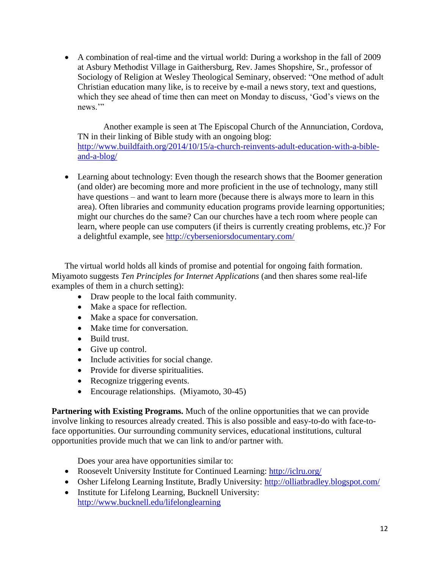A combination of real-time and the virtual world: During a workshop in the fall of 2009 at Asbury Methodist Village in Gaithersburg, Rev. James Shopshire, Sr., professor of Sociology of Religion at Wesley Theological Seminary, observed: "One method of adult Christian education many like, is to receive by e-mail a news story, text and questions, which they see ahead of time then can meet on Monday to discuss, 'God's views on the news."

Another example is seen at The Episcopal Church of the Annunciation, Cordova, TN in their linking of Bible study with an ongoing blog: [http://www.buildfaith.org/2014/10/15/a-church-reinvents-adult-education-with-a-bible](http://www.buildfaith.org/2014/10/15/a-church-reinvents-adult-education-with-a-bible-and-a-blog/)[and-a-blog/](http://www.buildfaith.org/2014/10/15/a-church-reinvents-adult-education-with-a-bible-and-a-blog/)

• Learning about technology: Even though the research shows that the Boomer generation (and older) are becoming more and more proficient in the use of technology, many still have questions – and want to learn more (because there is always more to learn in this area). Often libraries and community education programs provide learning opportunities; might our churches do the same? Can our churches have a tech room where people can learn, where people can use computers (if theirs is currently creating problems, etc.)? For a delightful example, see<http://cyberseniorsdocumentary.com/>

The virtual world holds all kinds of promise and potential for ongoing faith formation. Miyamoto suggests *Ten Principles for Internet Applications* (and then shares some real-life examples of them in a church setting):

- Draw people to the local faith community.
- Make a space for reflection.
- Make a space for conversation.
- Make time for conversation.
- Build trust.
- Give up control.
- Include activities for social change.
- Provide for diverse spiritualities.
- Recognize triggering events.
- Encourage relationships. (Miyamoto, 30-45)

**Partnering with Existing Programs.** Much of the online opportunities that we can provide involve linking to resources already created. This is also possible and easy-to-do with face-toface opportunities. Our surrounding community services, educational institutions, cultural opportunities provide much that we can link to and/or partner with.

Does your area have opportunities similar to:

- Roosevelt University Institute for Continued Learning:<http://iclru.org/>
- Osher Lifelong Learning Institute, Bradly University:<http://olliatbradley.blogspot.com/>
- Institute for Lifelong Learning, Bucknell University: <http://www.bucknell.edu/lifelonglearning>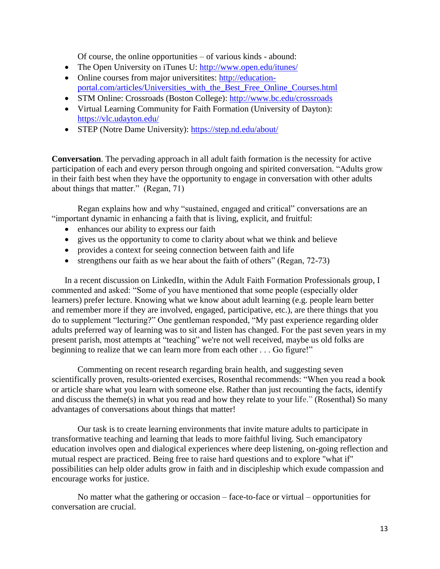Of course, the online opportunities – of various kinds - abound:

- The Open University on iTunes U:<http://www.open.edu/itunes/>
- Online courses from major universitites: [http://education](http://education-portal.com/articles/Universities_with_the_Best_Free_Online_Courses.html)[portal.com/articles/Universities\\_with\\_the\\_Best\\_Free\\_Online\\_Courses.html](http://education-portal.com/articles/Universities_with_the_Best_Free_Online_Courses.html)
- STM Online: Crossroads (Boston College):<http://www.bc.edu/crossroads>
- Virtual Learning Community for Faith Formation (University of Dayton): <https://vlc.udayton.edu/>
- STEP (Notre Dame University):<https://step.nd.edu/about/>

**Conversation**. The pervading approach in all adult faith formation is the necessity for active participation of each and every person through ongoing and spirited conversation. "Adults grow in their faith best when they have the opportunity to engage in conversation with other adults about things that matter." (Regan, 71)

Regan explains how and why "sustained, engaged and critical" conversations are an "important dynamic in enhancing a faith that is living, explicit, and fruitful:

- enhances our ability to express our faith
- gives us the opportunity to come to clarity about what we think and believe
- provides a context for seeing connection between faith and life
- strengthens our faith as we hear about the faith of others" (Regan, 72-73)

In a recent discussion on LinkedIn, within the Adult Faith Formation Professionals group, I commented and asked: "Some of you have mentioned that some people (especially older learners) prefer lecture. Knowing what we know about adult learning (e.g. people learn better and remember more if they are involved, engaged, participative, etc.), are there things that you do to supplement "lecturing?" One gentleman responded, "My past experience regarding older adults preferred way of learning was to sit and listen has changed. For the past seven years in my present parish, most attempts at "teaching" we're not well received, maybe us old folks are beginning to realize that we can learn more from each other . . . Go figure!"

Commenting on recent research regarding brain health, and suggesting seven scientifically proven, results-oriented exercises, Rosenthal recommends: "When you read a book or article share what you learn with someone else. Rather than just recounting the facts, identify and discuss the theme(s) in what you read and how they relate to your life." (Rosenthal) So many advantages of conversations about things that matter!

Our task is to create learning environments that invite mature adults to participate in transformative teaching and learning that leads to more faithful living. Such emancipatory education involves open and dialogical experiences where deep listening, on-going reflection and mutual respect are practiced. Being free to raise hard questions and to explore "what if" possibilities can help older adults grow in faith and in discipleship which exude compassion and encourage works for justice.

No matter what the gathering or occasion – face-to-face or virtual – opportunities for conversation are crucial.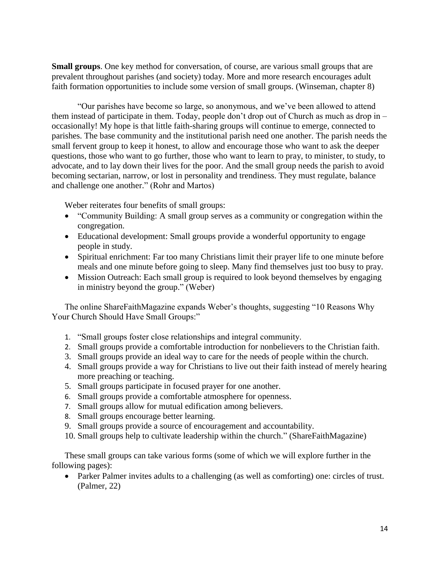**Small groups**. One key method for conversation, of course, are various small groups that are prevalent throughout parishes (and society) today. More and more research encourages adult faith formation opportunities to include some version of small groups. (Winseman, chapter 8)

"Our parishes have become so large, so anonymous, and we've been allowed to attend them instead of participate in them. Today, people don't drop out of Church as much as drop in – occasionally! My hope is that little faith-sharing groups will continue to emerge, connected to parishes. The base community and the institutional parish need one another. The parish needs the small fervent group to keep it honest, to allow and encourage those who want to ask the deeper questions, those who want to go further, those who want to learn to pray, to minister, to study, to advocate, and to lay down their lives for the poor. And the small group needs the parish to avoid becoming sectarian, narrow, or lost in personality and trendiness. They must regulate, balance and challenge one another." (Rohr and Martos)

Weber reiterates four benefits of small groups:

- "Community Building: A small group serves as a community or congregation within the congregation.
- Educational development: Small groups provide a wonderful opportunity to engage people in study.
- Spiritual enrichment: Far too many Christians limit their prayer life to one minute before meals and one minute before going to sleep. Many find themselves just too busy to pray.
- Mission Outreach: Each small group is required to look beyond themselves by engaging in ministry beyond the group." (Weber)

The online ShareFaithMagazine expands Weber's thoughts, suggesting "10 Reasons Why Your Church Should Have Small Groups:"

- 1. "Small groups foster close relationships and integral community.
- 2. Small groups provide a comfortable introduction for nonbelievers to the Christian faith.
- 3. Small groups provide an ideal way to care for the needs of people within the church.
- 4. Small groups provide a way for Christians to live out their faith instead of merely hearing more preaching or teaching.
- 5. Small groups participate in focused prayer for one another.
- 6. Small groups provide a comfortable atmosphere for openness.
- 7. Small groups allow for mutual edification among believers.
- 8. Small groups encourage better learning.
- 9. Small groups provide a source of encouragement and accountability.
- 10. Small groups help to cultivate leadership within the church." (ShareFaithMagazine)

These small groups can take various forms (some of which we will explore further in the following pages):

 Parker Palmer invites adults to a challenging (as well as comforting) one: circles of trust. (Palmer, 22)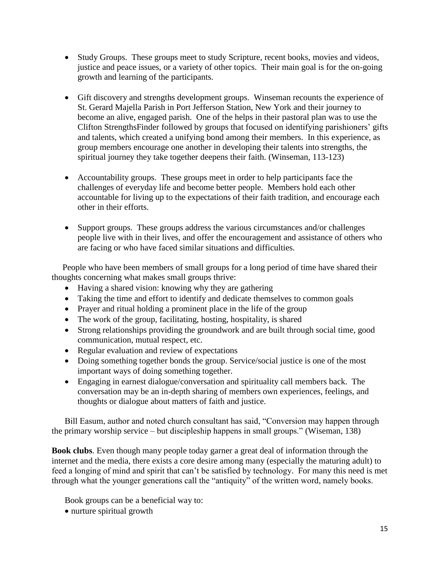- Study Groups. These groups meet to study Scripture, recent books, movies and videos, justice and peace issues, or a variety of other topics. Their main goal is for the on-going growth and learning of the participants.
- Gift discovery and strengths development groups. Winseman recounts the experience of St. Gerard Majella Parish in Port Jefferson Station, New York and their journey to become an alive, engaged parish. One of the helps in their pastoral plan was to use the Clifton StrengthsFinder followed by groups that focused on identifying parishioners' gifts and talents, which created a unifying bond among their members. In this experience, as group members encourage one another in developing their talents into strengths, the spiritual journey they take together deepens their faith. (Winseman, 113-123)
- Accountability groups. These groups meet in order to help participants face the challenges of everyday life and become better people. Members hold each other accountable for living up to the expectations of their faith tradition, and encourage each other in their efforts.
- Support groups. These groups address the various circumstances and/or challenges people live with in their lives, and offer the encouragement and assistance of others who are facing or who have faced similar situations and difficulties.

 People who have been members of small groups for a long period of time have shared their thoughts concerning what makes small groups thrive:

- Having a shared vision: knowing why they are gathering
- Taking the time and effort to identify and dedicate themselves to common goals
- Prayer and ritual holding a prominent place in the life of the group
- The work of the group, facilitating, hosting, hospitality, is shared
- Strong relationships providing the groundwork and are built through social time, good communication, mutual respect, etc.
- Regular evaluation and review of expectations
- Doing something together bonds the group. Service/social justice is one of the most important ways of doing something together.
- Engaging in earnest dialogue/conversation and spirituality call members back. The conversation may be an in-depth sharing of members own experiences, feelings, and thoughts or dialogue about matters of faith and justice.

Bill Easum, author and noted church consultant has said, "Conversion may happen through the primary worship service – but discipleship happens in small groups." (Wiseman, 138)

**Book clubs**. Even though many people today garner a great deal of information through the internet and the media, there exists a core desire among many (especially the maturing adult) to feed a longing of mind and spirit that can't be satisfied by technology. For many this need is met through what the younger generations call the "antiquity" of the written word, namely books.

Book groups can be a beneficial way to:

• nurture spiritual growth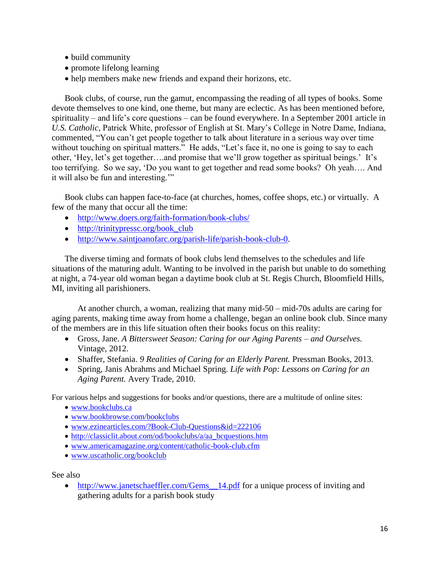- build community
- promote lifelong learning
- help members make new friends and expand their horizons, etc.

Book clubs, of course, run the gamut, encompassing the reading of all types of books. Some devote themselves to one kind, one theme, but many are eclectic. As has been mentioned before, spirituality – and life's core questions – can be found everywhere. In a September 2001 article in *U.S. Catholic*, Patrick White, professor of English at St. Mary's College in Notre Dame, Indiana, commented, "You can't get people together to talk about literature in a serious way over time without touching on spiritual matters." He adds, "Let's face it, no one is going to say to each other, 'Hey, let's get together….and promise that we'll grow together as spiritual beings.' It's too terrifying. So we say, 'Do you want to get together and read some books? Oh yeah…. And it will also be fun and interesting.'"

Book clubs can happen face-to-face (at churches, homes, coffee shops, etc.) or virtually. A few of the many that occur all the time:

- <http://www.doers.org/faith-formation/book-clubs/>
- [http://trinitypressc.org/book\\_club](http://trinitypressc.org/book_club)
- [http://www.saintjoanofarc.org/parish-life/parish-book-club-0.](http://www.saintjoanofarc.org/parish-life/parish-book-club-0)

The diverse timing and formats of book clubs lend themselves to the schedules and life situations of the maturing adult. Wanting to be involved in the parish but unable to do something at night, a 74-year old woman began a daytime book club at St. Regis Church, Bloomfield Hills, MI, inviting all parishioners.

At another church, a woman, realizing that many mid-50 – mid-70s adults are caring for aging parents, making time away from home a challenge, began an online book club. Since many of the members are in this life situation often their books focus on this reality:

- Gross, Jane. *A Bittersweet Season: Caring for our Aging Parents – and Ourselves.*  Vintage, 2012.
- Shaffer, Stefania. *9 Realities of Caring for an Elderly Parent.* Pressman Books, 2013.
- Spring, Janis Abrahms and Michael Spring. *Life with Pop: Lessons on Caring for an Aging Parent.* Avery Trade, 2010.

For various helps and suggestions for books and/or questions, there are a multitude of online sites:

- [www.bookclubs.ca](http://www.bookclubs.ca/)
- [www.bookbrowse.com/bookclubs](http://www.bookbrowse.com/bookclubs)
- [www.ezinearticles.com/?Book-Club-Questions&id=222106](http://www.ezinearticles.com/?Book-Club-Questions&id=222106)
- http://classiclit.about.com/od/bookclubs/a/aa bcquestions.htm
- [www.americamagazine.org/content/catholic-book-club.cfm](http://www.americamagazine.org/content/catholic-book-club.cfm)
- [www.uscatholic.org/bookclub](http://www.uscatholic.org/bookclub)

See also

• http://www.janetschaeffler.com/Gems\_14.pdf for a unique process of inviting and gathering adults for a parish book study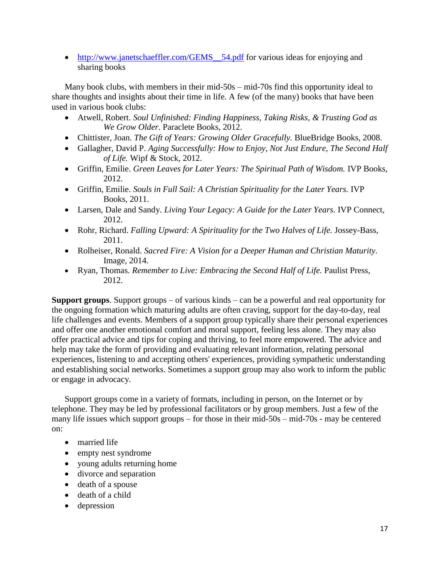• http://www.janetschaeffler.com/GEMS\_54.pdf for various ideas for enjoying and sharing books

Many book clubs, with members in their mid-50s – mid-70s find this opportunity ideal to share thoughts and insights about their time in life. A few (of the many) books that have been used in various book clubs:

- Atwell, Robert. *Soul Unfinished: Finding Happiness, Taking Risks, & Trusting God as We Grow Older.* Paraclete Books, 2012.
- Chittister, Joan. *The Gift of Years: Growing Older Gracefully.* BlueBridge Books, 2008.
- Gallagher, David P. *Aging Successfully: How to Enjoy, Not Just Endure, The Second Half of Life.* Wipf & Stock, 2012.
- Griffin, Emilie. *Green Leaves for Later Years: The Spiritual Path of Wisdom.* IVP Books, 2012.
- Griffin, Emilie. *Souls in Full Sail: A Christian Spirituality for the Later Years.* IVP Books, 2011.
- Larsen, Dale and Sandy. *Living Your Legacy: A Guide for the Later Years.* IVP Connect, 2012.
- Rohr, Richard. *Falling Upward: A Spirituality for the Two Halves of Life.* Jossey-Bass, 2011.
- Rolheiser, Ronald. *Sacred Fire: A Vision for a Deeper Human and Christian Maturity.*  Image, 2014.
- Ryan, Thomas. *Remember to Live: Embracing the Second Half of Life*. Paulist Press, 2012.

**Support groups**. Support groups – of various kinds – can be a powerful and real opportunity for the ongoing formation which maturing adults are often craving, support for the day-to-day, real life challenges and events. Members of a support group typically share their personal experiences and offer one another emotional comfort and moral support, feeling less alone. They may also offer practical advice and tips for coping and thriving, to feel more empowered. The advice and help may take the form of providing and evaluating relevant information, relating personal experiences, listening to and accepting others' experiences, providing sympathetic understanding and establishing [social networks.](http://en.wikipedia.org/wiki/Social_network) Sometimes a support group may also work to inform the public or engage in advocacy.

Support groups come in a variety of formats, including in person, on the Internet or by telephone. They may be led by professional facilitators or by group members. Just a few of the many life issues which support groups – for those in their mid-50s – mid-70s - may be centered on:

- married life
- empty nest syndrome
- young adults returning home
- divorce and separation
- death of a spouse
- death of a child
- depression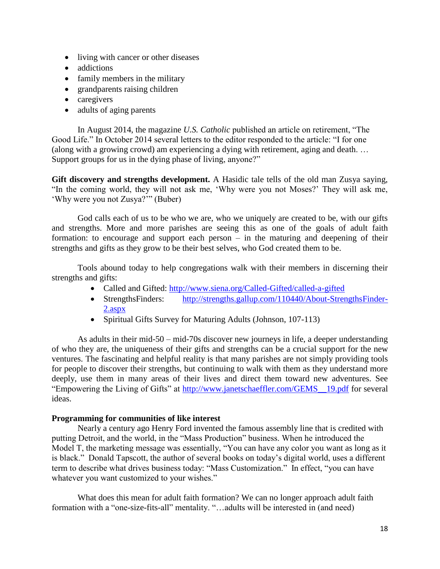- living with cancer or other diseases
- addictions
- family members in the military
- grandparents raising children
- caregivers
- adults of aging parents

In August 2014, the magazine *U.S. Catholic* published an article on retirement, "The Good Life." In October 2014 several letters to the editor responded to the article: "I for one (along with a growing crowd) am experiencing a dying with retirement, aging and death. … Support groups for us in the dying phase of living, anyone?"

**Gift discovery and strengths development.** A Hasidic tale tells of the old man Zusya saying, "In the coming world, they will not ask me, 'Why were you not Moses?' They will ask me, 'Why were you not Zusya?'" (Buber)

God calls each of us to be who we are, who we uniquely are created to be, with our gifts and strengths. More and more parishes are seeing this as one of the goals of adult faith formation: to encourage and support each person – in the maturing and deepening of their strengths and gifts as they grow to be their best selves, who God created them to be.

Tools abound today to help congregations walk with their members in discerning their strengths and gifts:

- Called and Gifted:<http://www.siena.org/Called-Gifted/called-a-gifted>
- StrengthsFinders: [http://strengths.gallup.com/110440/About-StrengthsFinder-](http://strengths.gallup.com/110440/About-StrengthsFinder-2.aspx)[2.aspx](http://strengths.gallup.com/110440/About-StrengthsFinder-2.aspx)
- Spiritual Gifts Survey for Maturing Adults (Johnson, 107-113)

As adults in their mid-50 – mid-70s discover new journeys in life, a deeper understanding of who they are, the uniqueness of their gifts and strengths can be a crucial support for the new ventures. The fascinating and helpful reality is that many parishes are not simply providing tools for people to discover their strengths, but continuing to walk with them as they understand more deeply, use them in many areas of their lives and direct them toward new adventures. See "Empowering the Living of Gifts" at [http://www.janetschaeffler.com/GEMS\\_\\_19.pdf](http://www.janetschaeffler.com/GEMS__19.pdf) for several ideas.

# **Programming for communities of like interest**

Nearly a century ago Henry Ford invented the famous assembly line that is credited with putting Detroit, and the world, in the "Mass Production" business. When he introduced the Model T, the marketing message was essentially, "You can have any color you want as long as it is black." Donald Tapscott, the author of several books on today's digital world, uses a different term to describe what drives business today: "Mass Customization." In effect, "you can have whatever you want customized to your wishes."

What does this mean for adult faith formation? We can no longer approach adult faith formation with a "one-size-fits-all" mentality. "...adults will be interested in (and need)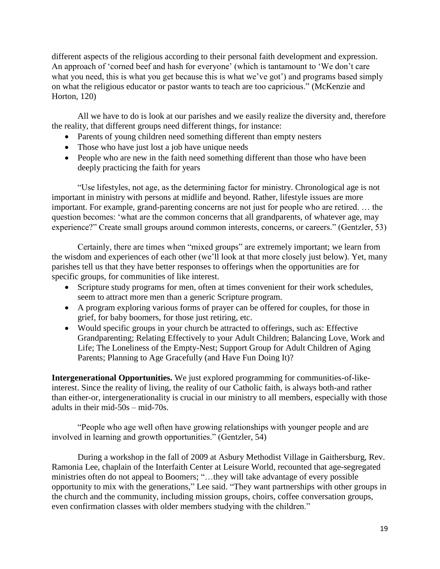different aspects of the religious according to their personal faith development and expression. An approach of 'corned beef and hash for everyone' (which is tantamount to 'We don't care what you need, this is what you get because this is what we've got') and programs based simply on what the religious educator or pastor wants to teach are too capricious." (McKenzie and Horton, 120)

All we have to do is look at our parishes and we easily realize the diversity and, therefore the reality, that different groups need different things, for instance:

- Parents of young children need something different than empty nesters
- Those who have just lost a job have unique needs
- People who are new in the faith need something different than those who have been deeply practicing the faith for years

"Use lifestyles, not age, as the determining factor for ministry. Chronological age is not important in ministry with persons at midlife and beyond. Rather, lifestyle issues are more important. For example, grand-parenting concerns are not just for people who are retired. … the question becomes: 'what are the common concerns that all grandparents, of whatever age, may experience?" Create small groups around common interests, concerns, or careers." (Gentzler, 53)

Certainly, there are times when "mixed groups" are extremely important; we learn from the wisdom and experiences of each other (we'll look at that more closely just below). Yet, many parishes tell us that they have better responses to offerings when the opportunities are for specific groups, for communities of like interest.

- Scripture study programs for men, often at times convenient for their work schedules, seem to attract more men than a generic Scripture program.
- A program exploring various forms of prayer can be offered for couples, for those in grief, for baby boomers, for those just retiring, etc.
- Would specific groups in your church be attracted to offerings, such as: Effective Grandparenting; Relating Effectively to your Adult Children; Balancing Love, Work and Life; The Loneliness of the Empty-Nest; Support Group for Adult Children of Aging Parents; Planning to Age Gracefully (and Have Fun Doing It)?

**Intergenerational Opportunities.** We just explored programming for communities-of-likeinterest. Since the reality of living, the reality of our Catholic faith, is always both-and rather than either-or, intergenerationality is crucial in our ministry to all members, especially with those adults in their mid-50s – mid-70s.

"People who age well often have growing relationships with younger people and are involved in learning and growth opportunities." (Gentzler, 54)

During a workshop in the fall of 2009 at Asbury Methodist Village in Gaithersburg, Rev. Ramonia Lee, chaplain of the Interfaith Center at Leisure World, recounted that age-segregated ministries often do not appeal to Boomers; "…they will take advantage of every possible opportunity to mix with the generations," Lee said. "They want partnerships with other groups in the church and the community, including mission groups, choirs, coffee conversation groups, even confirmation classes with older members studying with the children."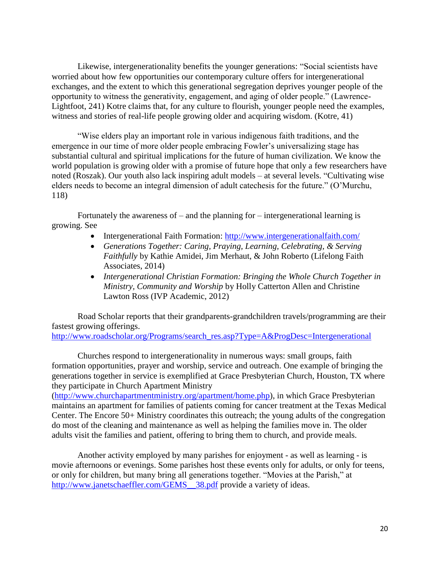Likewise, intergenerationality benefits the younger generations: "Social scientists have worried about how few opportunities our contemporary culture offers for intergenerational exchanges, and the extent to which this generational segregation deprives younger people of the opportunity to witness the generativity, engagement, and aging of older people." (Lawrence-Lightfoot, 241) Kotre claims that, for any culture to flourish, younger people need the examples, witness and stories of real-life people growing older and acquiring wisdom. (Kotre, 41)

"Wise elders play an important role in various indigenous faith traditions, and the emergence in our time of more older people embracing Fowler's universalizing stage has substantial cultural and spiritual implications for the future of human civilization. We know the world population is growing older with a promise of future hope that only a few researchers have noted (Roszak). Our youth also lack inspiring adult models – at several levels. "Cultivating wise elders needs to become an integral dimension of adult catechesis for the future." (O'Murchu, 118)

Fortunately the awareness of – and the planning for – intergenerational learning is growing. See

- Intergenerational Faith Formation:<http://www.intergenerationalfaith.com/>
- *Generations Together: Caring, Praying, Learning, Celebrating, & Serving Faithfully* by Kathie Amidei, Jim Merhaut, & John Roberto (Lifelong Faith Associates, 2014)
- *Intergenerational Christian Formation: Bringing the Whole Church Together in Ministry, Community and Worship* by Holly Catterton Allen and Christine Lawton Ross (IVP Academic, 2012)

Road Scholar reports that their grandparents-grandchildren travels/programming are their fastest growing offerings.

[http://www.roadscholar.org/Programs/search\\_res.asp?Type=A&ProgDesc=Intergenerational](http://www.roadscholar.org/Programs/search_res.asp?Type=A&ProgDesc=Intergenerational)

Churches respond to intergenerationality in numerous ways: small groups, faith formation opportunities, prayer and worship, service and outreach. One example of bringing the generations together in service is exemplified at Grace Presbyterian Church, Houston, TX where they participate in Church Apartment Ministry

[\(http://www.churchapartmentministry.org/apartment/home.php\)](http://www.churchapartmentministry.org/apartment/home.php), in which Grace Presbyterian maintains an apartment for families of patients coming for cancer treatment at the Texas Medical Center. The Encore 50+ Ministry coordinates this outreach; the young adults of the congregation do most of the cleaning and maintenance as well as helping the families move in. The older adults visit the families and patient, offering to bring them to church, and provide meals.

Another activity employed by many parishes for enjoyment - as well as learning - is movie afternoons or evenings. Some parishes host these events only for adults, or only for teens, or only for children, but many bring all generations together. "Movies at the Parish," at [http://www.janetschaeffler.com/GEMS\\_\\_38.pdf](http://www.janetschaeffler.com/GEMS__38.pdf) provide a variety of ideas.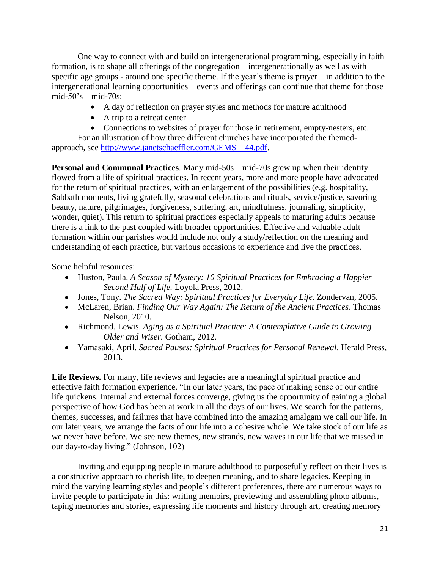One way to connect with and build on intergenerational programming, especially in faith formation, is to shape all offerings of the congregation – intergenerationally as well as with specific age groups - around one specific theme. If the year's theme is prayer – in addition to the intergenerational learning opportunities – events and offerings can continue that theme for those mid-50's – mid-70s:

- A day of reflection on prayer styles and methods for mature adulthood
- A trip to a retreat center
- Connections to websites of prayer for those in retirement, empty-nesters, etc.

For an illustration of how three different churches have incorporated the themedapproach, see [http://www.janetschaeffler.com/GEMS\\_\\_44.pdf.](http://www.janetschaeffler.com/GEMS__44.pdf)

**Personal and Communal Practices**. Many mid-50s – mid-70s grew up when their identity flowed from a life of spiritual practices. In recent years, more and more people have advocated for the return of spiritual practices, with an enlargement of the possibilities (e.g. hospitality, Sabbath moments, living gratefully, seasonal celebrations and rituals, service/justice, savoring beauty, nature, pilgrimages, forgiveness, suffering, art, mindfulness, journaling, simplicity, wonder, quiet). This return to spiritual practices especially appeals to maturing adults because there is a link to the past coupled with broader opportunities. Effective and valuable adult formation within our parishes would include not only a study/reflection on the meaning and understanding of each practice, but various occasions to experience and live the practices.

Some helpful resources:

- Huston, Paula. *A Season of Mystery: 10 Spiritual Practices for Embracing a Happier Second Half of Life.* Loyola Press, 2012.
- Jones, Tony. *The Sacred Way: Spiritual Practices for Everyday Life*. Zondervan, 2005.
- McLaren, Brian. *Finding Our Way Again: The Return of the Ancient Practices*. Thomas Nelson, 2010.
- Richmond, Lewis. *Aging as a Spiritual Practice: A Contemplative Guide to Growing Older and Wiser.* Gotham, 2012.
- Yamasaki, April. *Sacred Pauses: Spiritual Practices for Personal Renewal*. Herald Press, 2013.

Life Reviews. For many, life reviews and legacies are a meaningful spiritual practice and effective faith formation experience. "In our later years, the pace of making sense of our entire life quickens. Internal and external forces converge, giving us the opportunity of gaining a global perspective of how God has been at work in all the days of our lives. We search for the patterns, themes, successes, and failures that have combined into the amazing amalgam we call our life. In our later years, we arrange the facts of our life into a cohesive whole. We take stock of our life as we never have before. We see new themes, new strands, new waves in our life that we missed in our day-to-day living." (Johnson, 102)

Inviting and equipping people in mature adulthood to purposefully reflect on their lives is a constructive approach to cherish life, to deepen meaning, and to share legacies. Keeping in mind the varying learning styles and people's different preferences, there are numerous ways to invite people to participate in this: writing memoirs, previewing and assembling photo albums, taping memories and stories, expressing life moments and history through art, creating memory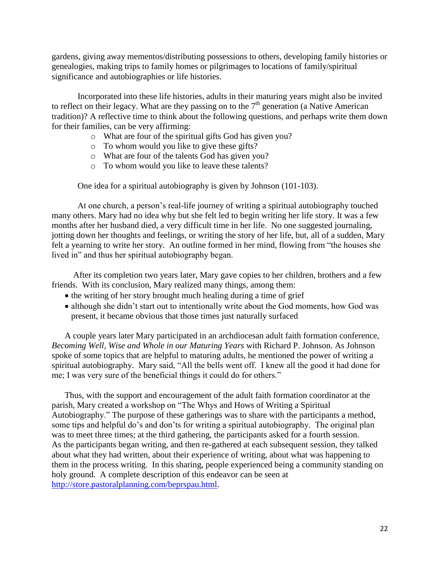gardens, giving away mementos/distributing possessions to others, developing family histories or genealogies, making trips to family homes or pilgrimages to locations of family/spiritual significance and autobiographies or life histories.

Incorporated into these life histories, adults in their maturing years might also be invited to reflect on their legacy. What are they passing on to the  $7<sup>th</sup>$  generation (a Native American tradition)? A reflective time to think about the following questions, and perhaps write them down for their families, can be very affirming:

- o What are four of the spiritual gifts God has given you?
- o To whom would you like to give these gifts?
- o What are four of the talents God has given you?
- o To whom would you like to leave these talents?

One idea for a spiritual autobiography is given by Johnson (101-103).

At one church, a person's real-life journey of writing a spiritual autobiography touched many others. Mary had no idea why but she felt led to begin writing her life story. It was a few months after her husband died, a very difficult time in her life. No one suggested journaling, jotting down her thoughts and feelings, or writing the story of her life, but, all of a sudden, Mary felt a yearning to write her story. An outline formed in her mind, flowing from "the houses she lived in" and thus her spiritual autobiography began.

 After its completion two years later, Mary gave copies to her children, brothers and a few friends. With its conclusion, Mary realized many things, among them:

- the writing of her story brought much healing during a time of grief
- although she didn't start out to intentionally write about the God moments, how God was present, it became obvious that those times just naturally surfaced

A couple years later Mary participated in an archdiocesan adult faith formation conference, *Becoming Well, Wise and Whole in our Maturing Years* with Richard P. Johnson. As Johnson spoke of some topics that are helpful to maturing adults, he mentioned the power of writing a spiritual autobiography. Mary said, "All the bells went off. I knew all the good it had done for me; I was very sure of the beneficial things it could do for others."

Thus, with the support and encouragement of the adult faith formation coordinator at the parish, Mary created a workshop on "The Whys and Hows of Writing a Spiritual Autobiography." The purpose of these gatherings was to share with the participants a method, some tips and helpful do's and don'ts for writing a spiritual autobiography. The original plan was to meet three times; at the third gathering, the participants asked for a fourth session. As the participants began writing, and then re-gathered at each subsequent session, they talked about what they had written, about their experience of writing, about what was happening to them in the process writing. In this sharing, people experienced being a community standing on holy ground. A complete description of this endeavor can be seen at [http://store.pastoralplanning.com/beprspau.html.](http://store.pastoralplanning.com/beprspau.html)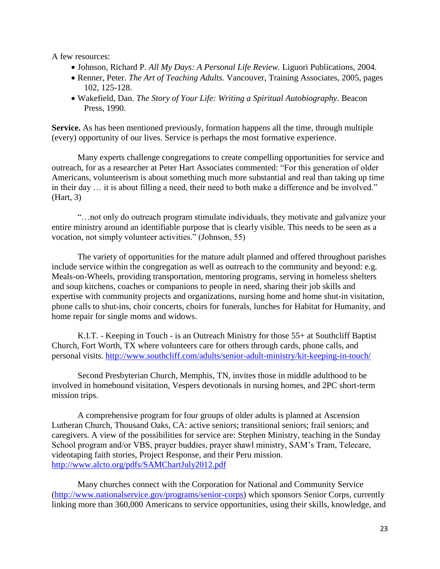A few resources:

- Johnson, Richard P*. All My Days: A Personal Life Review.* Liguori Publications, 2004.
- Renner, Peter*. The Art of Teaching Adults.* Vancouver, Training Associates, 2005, pages 102, 125-128.
- Wakefield, Dan. *The Story of Your Life: Writing a Spiritual Autobiography.* Beacon Press, 1990.

**Service.** As has been mentioned previously, formation happens all the time, through multiple (every) opportunity of our lives. Service is perhaps the most formative experience.

Many experts challenge congregations to create compelling opportunities for service and outreach, for as a researcher at Peter Hart Associates commented: "For this generation of older Americans, volunteerism is about something much more substantial and real than taking up time in their day … it is about filling a need, their need to both make a difference and be involved." (Hart, 3)

"…not only do outreach program stimulate individuals, they motivate and galvanize your entire ministry around an identifiable purpose that is clearly visible. This needs to be seen as a vocation, not simply volunteer activities." (Johnson, 55)

The variety of opportunities for the mature adult planned and offered throughout parishes include service within the congregation as well as outreach to the community and beyond: e.g. Meals-on-Wheels, providing transportation, mentoring programs, serving in homeless shelters and soup kitchens, coaches or companions to people in need, sharing their job skills and expertise with community projects and organizations, nursing home and home shut-in visitation, phone calls to shut-ins, choir concerts, choirs for funerals, lunches for Habitat for Humanity, and home repair for single moms and widows.

K.I.T. - Keeping in Touch - is an Outreach Ministry for those 55+ at Southcliff Baptist Church, Fort Worth, TX where volunteers care for others through cards, phone calls, and personal visits.<http://www.southcliff.com/adults/senior-adult-ministry/kit-keeping-in-touch/>

Second Presbyterian Church, Memphis, TN, invites those in middle adulthood to be involved in homebound visitation, Vespers devotionals in nursing homes, and 2PC short-term mission trips.

A comprehensive program for four groups of older adults is planned at Ascension Lutheran Church, Thousand Oaks, CA: active seniors; transitional seniors; frail seniors; and caregivers. A view of the possibilities for service are: Stephen Ministry, teaching in the Sunday School program and/or VBS, prayer buddies, prayer shawl ministry, SAM's Tram, Telecare, videotaping faith stories, Project Response, and their Peru mission. <http://www.alcto.org/pdfs/SAMChartJuly2012.pdf>

Many churches connect with the Corporation for National and Community Service [\(http://www.nationalservice.gov/programs/senior-corps\)](http://www.nationalservice.gov/programs/senior-corps) which sponsors Senior Corps, currently linking more than 360,000 Americans to service opportunities, using their skills, knowledge, and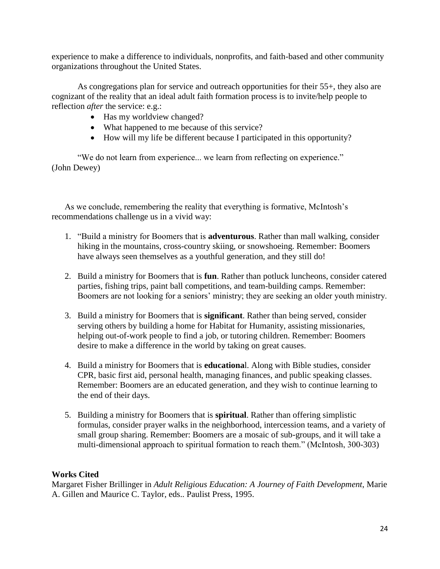experience to make a difference to individuals, nonprofits, and faith-based and other community organizations throughout the United States.

As congregations plan for service and outreach opportunities for their 55+, they also are cognizant of the reality that an ideal adult faith formation process is to invite/help people to reflection *after* the service: e.g.:

- Has my worldview changed?
- What happened to me because of this service?
- How will my life be different because I participated in this opportunity?

"We do not learn from experience... we learn from reflecting on experience." [\(John Dewey\)](http://www.goodreads.com/author/show/42738.John_Dewey)

As we conclude, remembering the reality that everything is formative, McIntosh's recommendations challenge us in a vivid way:

- 1. "Build a ministry for Boomers that is **adventurous**. Rather than mall walking, consider hiking in the mountains, cross-country skiing, or snowshoeing. Remember: Boomers have always seen themselves as a youthful generation, and they still do!
- 2. Build a ministry for Boomers that is **fun**. Rather than potluck luncheons, consider catered parties, fishing trips, paint ball competitions, and team-building camps. Remember: Boomers are not looking for a seniors' ministry; they are seeking an older youth ministry.
- 3. Build a ministry for Boomers that is **significant**. Rather than being served, consider serving others by building a home for Habitat for Humanity, assisting missionaries, helping out-of-work people to find a job, or tutoring children. Remember: Boomers desire to make a difference in the world by taking on great causes.
- 4. Build a ministry for Boomers that is **educationa**l. Along with Bible studies, consider CPR, basic first aid, personal health, managing finances, and public speaking classes. Remember: Boomers are an educated generation, and they wish to continue learning to the end of their days.
- 5. Building a ministry for Boomers that is **spiritual**. Rather than offering simplistic formulas, consider prayer walks in the neighborhood, intercession teams, and a variety of small group sharing. Remember: Boomers are a mosaic of sub-groups, and it will take a multi-dimensional approach to spiritual formation to reach them." (McIntosh, 300-303)

# **Works Cited**

Margaret Fisher Brillinger in *Adult Religious Education: A Journey of Faith Development*, Marie A. Gillen and Maurice C. Taylor, eds.. Paulist Press, 1995.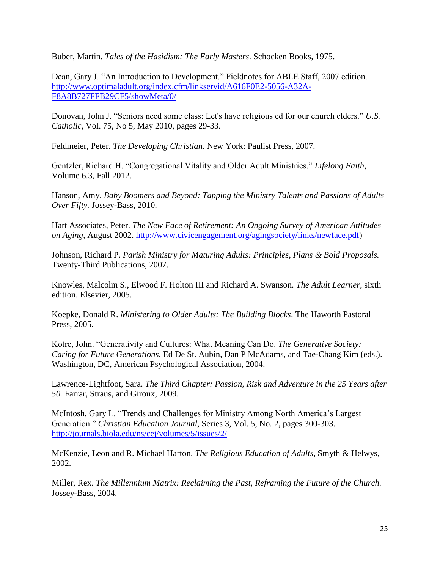Buber, Martin. *Tales of the Hasidism: The Early Masters*. Schocken Books, 1975.

Dean, Gary J. "An Introduction to Development." Fieldnotes for ABLE Staff, 2007 edition. [http://www.optimaladult.org/index.cfm/linkservid/A616F0E2-5056-A32A-](http://www.optimaladult.org/index.cfm/linkservid/A616F0E2-5056-A32A-F8A8B727FFB29CF5/showMeta/0/)[F8A8B727FFB29CF5/showMeta/0/](http://www.optimaladult.org/index.cfm/linkservid/A616F0E2-5056-A32A-F8A8B727FFB29CF5/showMeta/0/)

Donovan, John J. "Seniors need some class: Let's have religious ed for our church elders." *U.S. Catholic*, Vol. 75, No 5, May 2010, pages 29-33.

Feldmeier, Peter. *The Developing Christian.* New York: Paulist Press, 2007.

Gentzler, Richard H. "Congregational Vitality and Older Adult Ministries." *Lifelong Faith,*  Volume 6.3, Fall 2012.

Hanson, Amy. *Baby Boomers and Beyond: Tapping the Ministry Talents and Passions of Adults Over Fifty.* Jossey-Bass, 2010.

Hart Associates, Peter. *The New Face of Retirement: An Ongoing Survey of American Attitudes on Aging,* August 2002. [http://www.civicengagement.org/agingsociety/links/newface.pdf\)](http://www.civicengagement.org/agingsociety/links/newface.pdf)

Johnson, Richard P. *Parish Ministry for Maturing Adults: Principles, Plans & Bold Proposals.*  Twenty-Third Publications, 2007.

Knowles, Malcolm S., Elwood F. Holton III and Richard A. Swanson. *The Adult Learner,* sixth edition. Elsevier, 2005.

Koepke, Donald R. *Ministering to Older Adults: The Building Blocks*. The Haworth Pastoral Press, 2005.

Kotre, John. "Generativity and Cultures: What Meaning Can Do. *The Generative Society: Caring for Future Generations.* Ed De St. Aubin, Dan P McAdams, and Tae-Chang Kim (eds.). Washington, DC, American Psychological Association, 2004.

Lawrence-Lightfoot, Sara. *The Third Chapter: Passion, Risk and Adventure in the 25 Years after 50.* Farrar, Straus, and Giroux*,* 2009.

McIntosh, Gary L. "Trends and Challenges for Ministry Among North America's Largest Generation." *Christian Education Journal,* Series 3, Vol. 5, No. 2, pages 300-303. <http://journals.biola.edu/ns/cej/volumes/5/issues/2/>

McKenzie, Leon and R. Michael Harton. *The Religious Education of Adults*, Smyth & Helwys, 2002.

Miller, Rex. *The Millennium Matrix: Reclaiming the Past, Reframing the Future of the Church.* Jossey-Bass, 2004.